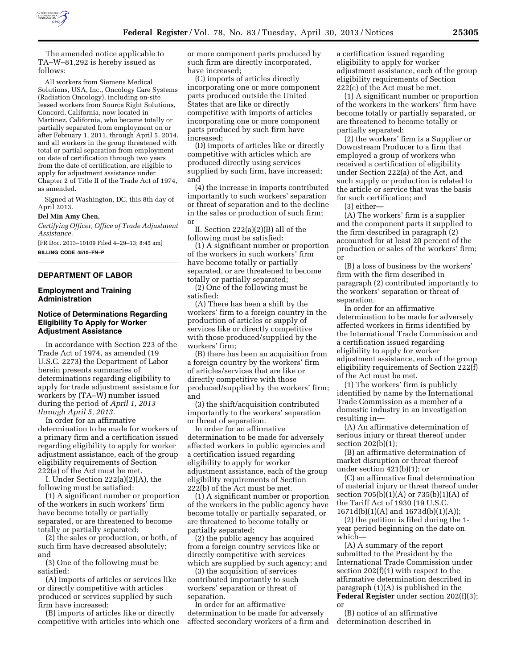

The amended notice applicable to TA–W–81,292 is hereby issued as follows:

All workers from Siemens Medical Solutions, USA, Inc., Oncology Care Systems (Radiation Oncology), including on-site leased workers from Source Right Solutions, Concord, California, now located in Martinez, California, who became totally or partially separated from employment on or after February 1, 2011, through April 5, 2014, and all workers in the group threatened with total or partial separation from employment on date of certification through two years from the date of certification, are eligible to apply for adjustment assistance under Chapter 2 of Title II of the Trade Act of 1974, as amended.

Signed at Washington, DC, this 8th day of April 2013.

#### **Del Min Amy Chen,**

*Certifying Officer, Office of Trade Adjustment Assistance.* 

[FR Doc. 2013–10109 Filed 4–29–13; 8:45 am] **BILLING CODE 4510–FN–P** 

## **DEPARTMENT OF LABOR**

#### **Employment and Training Administration**

## **Notice of Determinations Regarding Eligibility To Apply for Worker Adjustment Assistance**

In accordance with Section 223 of the Trade Act of 1974, as amended (19 U.S.C. 2273) the Department of Labor herein presents summaries of determinations regarding eligibility to apply for trade adjustment assistance for workers by (TA–W) number issued during the period of *April 1, 2013 through April 5, 2013.* 

In order for an affirmative determination to be made for workers of a primary firm and a certification issued regarding eligibility to apply for worker adjustment assistance, each of the group eligibility requirements of Section 222(a) of the Act must be met.

I. Under Section 222(a)(2)(A), the following must be satisfied:

(1) A significant number or proportion of the workers in such workers' firm have become totally or partially separated, or are threatened to become totally or partially separated;

(2) the sales or production, or both, of such firm have decreased absolutely; and

(3) One of the following must be satisfied:

(A) Imports of articles or services like or directly competitive with articles produced or services supplied by such firm have increased;

(B) imports of articles like or directly competitive with articles into which one or more component parts produced by such firm are directly incorporated, have increased;

(C) imports of articles directly incorporating one or more component parts produced outside the United States that are like or directly competitive with imports of articles incorporating one or more component parts produced by such firm have increased;

(D) imports of articles like or directly competitive with articles which are produced directly using services supplied by such firm, have increased; and

(4) the increase in imports contributed importantly to such workers' separation or threat of separation and to the decline in the sales or production of such firm; or

II. Section 222(a)(2)(B) all of the following must be satisfied:

(1) A significant number or proportion of the workers in such workers' firm have become totally or partially separated, or are threatened to become totally or partially separated;

(2) One of the following must be satisfied:

(A) There has been a shift by the workers' firm to a foreign country in the production of articles or supply of services like or directly competitive with those produced/supplied by the workers' firm;

(B) there has been an acquisition from a foreign country by the workers' firm of articles/services that are like or directly competitive with those produced/supplied by the workers' firm; and

(3) the shift/acquisition contributed importantly to the workers' separation or threat of separation.

In order for an affirmative determination to be made for adversely affected workers in public agencies and a certification issued regarding eligibility to apply for worker adjustment assistance, each of the group eligibility requirements of Section 222(b) of the Act must be met.

(1) A significant number or proportion of the workers in the public agency have become totally or partially separated, or are threatened to become totally or partially separated;

(2) the public agency has acquired from a foreign country services like or directly competitive with services which are supplied by such agency; and

(3) the acquisition of services contributed importantly to such workers' separation or threat of separation.

In order for an affirmative determination to be made for adversely affected secondary workers of a firm and a certification issued regarding eligibility to apply for worker adjustment assistance, each of the group eligibility requirements of Section 222(c) of the Act must be met.

(1) A significant number or proportion of the workers in the workers' firm have become totally or partially separated, or are threatened to become totally or partially separated;

(2) the workers' firm is a Supplier or Downstream Producer to a firm that employed a group of workers who received a certification of eligibility under Section 222(a) of the Act, and such supply or production is related to the article or service that was the basis for such certification; and

(3) either—

(A) The workers' firm is a supplier and the component parts it supplied to the firm described in paragraph (2) accounted for at least 20 percent of the production or sales of the workers' firm; or

(B) a loss of business by the workers' firm with the firm described in paragraph (2) contributed importantly to the workers' separation or threat of separation.

In order for an affirmative determination to be made for adversely affected workers in firms identified by the International Trade Commission and a certification issued regarding eligibility to apply for worker adjustment assistance, each of the group eligibility requirements of Section 222(f) of the Act must be met.

(1) The workers' firm is publicly identified by name by the International Trade Commission as a member of a domestic industry in an investigation resulting in—

(A) An affirmative determination of serious injury or threat thereof under section 202(b)(1);

(B) an affirmative determination of market disruption or threat thereof under section 421(b)(1); or

(C) an affirmative final determination of material injury or threat thereof under section 705(b)(1)(A) or 735(b)(1)(A) of the Tariff Act of 1930 (19 U.S.C. 1671d(b)(1)(A) and 1673d(b)(1)(A));

(2) the petition is filed during the 1 year period beginning on the date on which—

(A) A summary of the report submitted to the President by the International Trade Commission under section 202(f)(1) with respect to the affirmative determination described in paragraph (1)(A) is published in the **Federal Register** under section 202(f)(3); or

(B) notice of an affirmative determination described in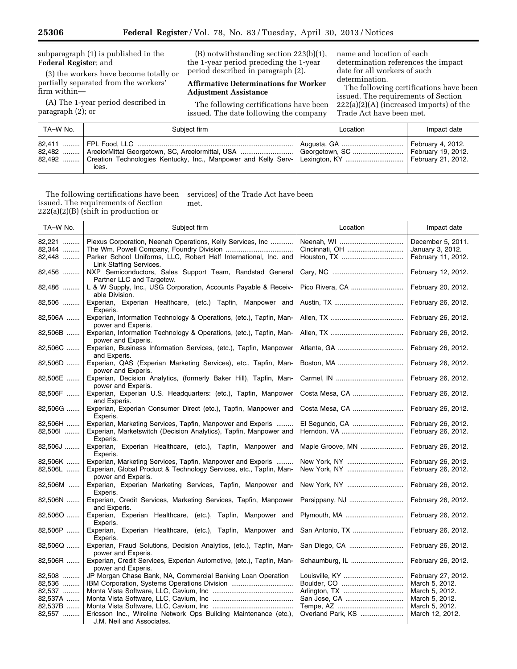# subparagraph (1) is published in the **Federal Register**; and

(3) the workers have become totally or partially separated from the workers' firm within—

(A) The 1-year period described in paragraph (2); or

(B) notwithstanding section 223(b)(1), the 1-year period preceding the 1-year period described in paragraph (2).

## **Affirmative Determinations for Worker Adjustment Assistance**

The following certifications have been issued. The date following the company

name and location of each determination references the impact date for all workers of such determination.

The following certifications have been issued. The requirements of Section 222(a)(2)(A) (increased imports) of the Trade Act have been met.

| TA-W No. | Subject firm                                                                                                                                                                             | Location                             | Impact date |
|----------|------------------------------------------------------------------------------------------------------------------------------------------------------------------------------------------|--------------------------------------|-------------|
|          | 82,482    ArcelorMittal Georgetown, SC, Arcelormittal, USA   <br>82,492    Creation Technologies Kentucky, Inc., Manpower and Kelly Serv-   Lexington, KY    February 21, 2012.<br>ices. | Georgetown, SC    February 19, 2012. |             |

The following certifications have been issued. The requirements of Section 222(a)(2)(B) (shift in production or services) of the Trade Act have been met.

| TA-W No.                                                   | Subject firm                                                                                                                                                                    | Location                                           | Impact date                                                                                                   |
|------------------------------------------------------------|---------------------------------------------------------------------------------------------------------------------------------------------------------------------------------|----------------------------------------------------|---------------------------------------------------------------------------------------------------------------|
| 82,221<br>82,344<br>82,448                                 | Plexus Corporation, Neenah Operations, Kelly Services, Inc<br>Parker School Uniforms, LLC, Robert Half International, Inc. and                                                  |                                                    | December 5, 2011.<br>January 3, 2012.<br>February 11, 2012.                                                   |
| 82,456                                                     | Link Staffing Services.<br>NXP Semiconductors, Sales Support Team, Randstad General                                                                                             |                                                    | February 12, 2012.                                                                                            |
| 82,486                                                     | Partner LLC and Targetcw.<br>L & W Supply, Inc., USG Corporation, Accounts Payable & Receiv-<br>able Division.                                                                  | Pico Rivera, CA                                    | February 20, 2012.                                                                                            |
| 82,506                                                     | Experian, Experian Healthcare, (etc.) Tapfin, Manpower and<br>Experis.                                                                                                          |                                                    | February 26, 2012.                                                                                            |
| 82,506A                                                    | Experian, Information Technology & Operations, (etc.), Tapfin, Man-<br>power and Experis.                                                                                       |                                                    | February 26, 2012.                                                                                            |
| 82,506B                                                    | Experian, Information Technology & Operations, (etc.), Tapfin, Man-<br>power and Experis.                                                                                       |                                                    | February 26, 2012.                                                                                            |
| 82,506C                                                    | Experian, Business Information Services, (etc.), Tapfin, Manpower<br>and Experis.                                                                                               |                                                    | February 26, 2012.                                                                                            |
| 82,506D                                                    | Experian, QAS (Experian Marketing Services), etc., Tapfin, Man-<br>power and Experis.                                                                                           |                                                    | February 26, 2012.                                                                                            |
| 82,506E                                                    | Experian, Decision Analytics, (formerly Baker Hill), Tapfin, Man-<br>power and Experis.                                                                                         |                                                    | February 26, 2012.                                                                                            |
| 82,506F                                                    | Experian, Experian U.S. Headquarters: (etc.), Tapfin, Manpower<br>and Experis.                                                                                                  | Costa Mesa, CA                                     | February 26, 2012.                                                                                            |
| 82,506G                                                    | Experian, Experian Consumer Direct (etc.), Tapfin, Manpower and<br>Experis.                                                                                                     | Costa Mesa, CA                                     | February 26, 2012.                                                                                            |
| 82,506H<br>82,5061                                         | Experian, Marketing Services, Tapfin, Manpower and Experis<br>Experian, Marketswitch (Decision Analytics), Tapfin, Manpower and<br>Experis.                                     | Herndon, VA                                        | February 26, 2012.<br>February 26, 2012.                                                                      |
| 82,506J                                                    | Experian, Experian Healthcare, (etc.), Tapfin, Manpower and<br>Experis.                                                                                                         | Maple Groove, MN                                   | February 26, 2012.                                                                                            |
| 82,506K<br>82,506L                                         | Experian, Marketing Services, Tapfin, Manpower and Experis<br>Experian, Global Product & Technology Services, etc., Tapfin, Man-<br>power and Experis.                          | New York, NY                                       | February 26, 2012.<br>February 26, 2012.                                                                      |
| 82,506M                                                    | Experian, Experian Marketing Services, Tapfin, Manpower and<br>Experis.                                                                                                         | New York, NY                                       | February 26, 2012.                                                                                            |
| 82,506N                                                    | Experian, Credit Services, Marketing Services, Tapfin, Manpower<br>and Experis.                                                                                                 | Parsippany, NJ                                     | February 26, 2012.                                                                                            |
| 82,5060                                                    | Experian, Experian Healthcare, (etc.), Tapfin, Manpower and<br>Experis.                                                                                                         | Plymouth, MA                                       | February 26, 2012.                                                                                            |
| 82,506P                                                    | Experian, Experian Healthcare, (etc.), Tapfin, Manpower and<br>Experis.                                                                                                         | San Antonio, TX                                    | February 26, 2012.                                                                                            |
| 82,506Q                                                    | Experian, Fraud Solutions, Decision Analytics, (etc.), Tapfin, Man-<br>power and Experis.                                                                                       | San Diego, CA                                      | February 26, 2012.                                                                                            |
| 82,506R                                                    | Experian, Credit Services, Experian Automotive, (etc.), Tapfin, Man-<br>power and Experis.                                                                                      | Schaumburg, IL                                     | February 26, 2012.                                                                                            |
| 82,508<br>82,536<br>82,537<br>82,537A<br>82,537B<br>82,557 | JP Morgan Chase Bank, NA, Commercial Banking Loan Operation<br>IBM Corporation, Systems Operations Division<br>Ericsson Inc., Wireline Network Ops Building Maintenance (etc.), | Arlington, TX<br>San Jose, CA<br>Overland Park, KS | February 27, 2012.<br>March 5, 2012.<br>March 5, 2012.<br>March 5, 2012.<br>March 5, 2012.<br>March 12, 2012. |
|                                                            | J.M. Neil and Associates.                                                                                                                                                       |                                                    |                                                                                                               |

Ξ